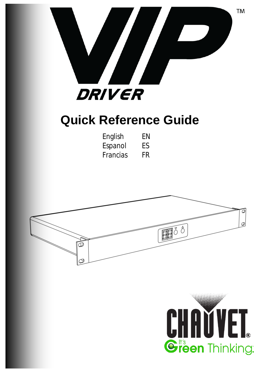

# **Quick Reference Guide**

| English  | ΕN |
|----------|----|
| Espanol  | FS |
| Francias | FR |



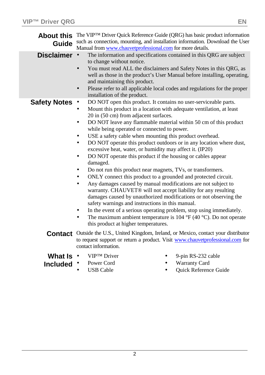| Guide                              | About this The VIPTM Driver Quick Reference Guide (QRG) has basic product information<br>such as connection, mounting, and installation information. Download the User<br>Manual from www.chauvetprofessional.com for more details.                                                                                                                                                                                                                                                                                                                                                                                                                                                                                                                                                                                                                                                                                                                                                                                                                                                                                                                                                        |  |  |
|------------------------------------|--------------------------------------------------------------------------------------------------------------------------------------------------------------------------------------------------------------------------------------------------------------------------------------------------------------------------------------------------------------------------------------------------------------------------------------------------------------------------------------------------------------------------------------------------------------------------------------------------------------------------------------------------------------------------------------------------------------------------------------------------------------------------------------------------------------------------------------------------------------------------------------------------------------------------------------------------------------------------------------------------------------------------------------------------------------------------------------------------------------------------------------------------------------------------------------------|--|--|
| <b>Disclaimer</b>                  | The information and specifications contained in this QRG are subject<br>$\cdot$<br>to change without notice.<br>You must read ALL the disclaimers and Safety Notes in this QRG, as<br>well as those in the product's User Manual before installing, operating,<br>and maintaining this product.<br>Please refer to all applicable local codes and regulations for the proper<br>installation of the product.                                                                                                                                                                                                                                                                                                                                                                                                                                                                                                                                                                                                                                                                                                                                                                               |  |  |
| <b>Safety Notes</b>                | DO NOT open this product. It contains no user-serviceable parts.<br>Mount this product in a location with adequate ventilation, at least<br>20 in (50 cm) from adjacent surfaces.<br>DO NOT leave any flammable material within 50 cm of this product<br>while being operated or connected to power.<br>USE a safety cable when mounting this product overhead.<br>DO NOT operate this product outdoors or in any location where dust,<br>excessive heat, water, or humidity may affect it. (IP20)<br>DO NOT operate this product if the housing or cables appear<br>damaged.<br>Do not run this product near magnets, TVs, or transformers.<br>ONLY connect this product to a grounded and protected circuit.<br>Any damages caused by manual modifications are not subject to<br>warranty. CHAUVET <sup>®</sup> will not accept liability for any resulting<br>damages caused by unauthorized modifications or not observing the<br>safety warnings and instructions in this manual.<br>In the event of a serious operating problem, stop using immediately.<br>The maximum ambient temperature is 104 $\rm{°F}$ (40 $\rm{°C}$ ). Do not operate<br>this product at higher temperatures. |  |  |
|                                    | Contact Outside the U.S., United Kingdom, Ireland, or Mexico, contact your distributor<br>to request support or return a product. Visit www.chauvetprofessional.com for<br>contact information.                                                                                                                                                                                                                                                                                                                                                                                                                                                                                                                                                                                                                                                                                                                                                                                                                                                                                                                                                                                            |  |  |
| What Is $\cdot$<br><b>Included</b> | VIP <sup>TM</sup> Driver<br>9-pin RS-232 cable<br>Warranty Card<br>Power Cord<br><b>Ouick Reference Guide</b><br><b>USB</b> Cable                                                                                                                                                                                                                                                                                                                                                                                                                                                                                                                                                                                                                                                                                                                                                                                                                                                                                                                                                                                                                                                          |  |  |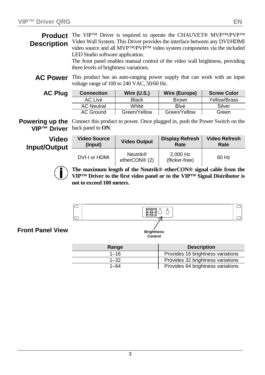**Product** The VIP<sup>™</sup> Driver is required to operate the CHAUVET® MVP<sup>™</sup>/PVP™ **Description** Video Wall System. This Driver provides the interface between any DVI/HDMI video source and all MVP™/PVP™ video system components via the included LED Studio software application.

> The front panel enables manual control of the video wall brightness, providing three levels of brightness variations.

**AC Power** This product has an auto-ranging power supply that can work with an input voltage range of 100 to 240 VAC, 50/60 Hz.

| Plug |
|------|
|      |

| <b>AC Plug</b> | <b>Connection</b> | Wire $(U.S.)$ | Wire (Europe) | <b>Screw Color</b> |
|----------------|-------------------|---------------|---------------|--------------------|
|                | AC Live           | <b>Black</b>  | <b>Brown</b>  | Yellow/Brass       |
|                | <b>AC Neutral</b> | White         | Blue          | Silver             |
|                | <b>AC Ground</b>  | Green/Yellow  | Green/Yellow  | Green              |

**Powering up the** Connect this product to power. Once plugged in, push the Power Switch on the **VIP™ Driver** back panel to **ON**.

**Video Input/Output**

| <b>Video Source</b> | <b>Video Output</b>                          | <b>Display Refresh</b>     | <b>Video Refresh</b> |
|---------------------|----------------------------------------------|----------------------------|----------------------|
| (Input)             |                                              | Rate                       | Rate                 |
| DVI-I or HDMI       | <b>Neutrik®</b><br>etherCON <sup>®</sup> (2) | 2.000 Hz<br>(flicker-free) | 60 Hz                |



**The maximum length of the Neutrik® etherCON® signal cable from the VIP™ Driver to the first video panel or to the VIP™ Signal Distributor is not to exceed 100 meters.**



**Front Panel View**

| Range    | <b>Description</b>                |
|----------|-----------------------------------|
| $1 - 16$ | Provides 16 brightness variations |
| $1 - 32$ | Provides 32 brightness variations |
| $1 - 64$ | Provides 64 brightness variations |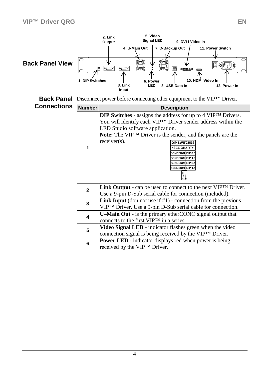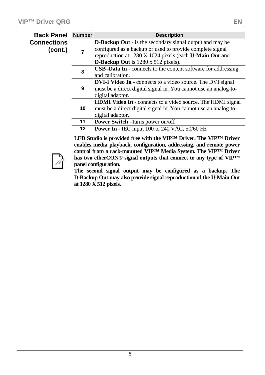| <b>Back Panel</b> | <b>Number</b>    | <b>Description</b>                                                   |
|-------------------|------------------|----------------------------------------------------------------------|
| Connections       |                  | <b>D-Backup Out</b> - is the secondary signal output and may be      |
| (cont.)           |                  | configured as a backup or used to provide complete signal            |
|                   |                  | reproduction at 1280 X 1024 pixels (each U-Main Out and              |
|                   |                  | D-Backup Out is $1280 \times 512$ pixels).                           |
|                   | 8                | <b>USB-Data In</b> - connects to the content software for addressing |
|                   | and calibration. |                                                                      |
|                   |                  | <b>DVI-I Video In</b> - connects to a video source. The DVI signal   |
|                   | 9                | must be a direct digital signal in. You cannot use an analog-to-     |
|                   |                  | digital adaptor.                                                     |
|                   |                  | <b>HDMI Video In</b> - connects to a video source. The HDMI signal   |
|                   | 10               | must be a direct digital signal in. You cannot use an analog-to-     |
|                   |                  | digital adaptor.                                                     |
|                   | 11               | <b>Power Switch - turns power on/off</b>                             |
|                   | 12               | <b>Power In</b> - IEC input 100 to 240 VAC, $50/60$ Hz               |

**LED Studio is provided free with the VIP™ Driver. The VIP™ Driver enables media playback, configuration, addressing, and remote power control from a rack-mounted VIP™ Media System. The VIP™ Driver has two etherCON® signal outputs that connect to any type of VIP™ panel configuration.** 

**The second signal output may be configured as a backup. The D-Backup Out may also provide signal reproduction of the U-Main Out at 1280 X 512 pixels.**

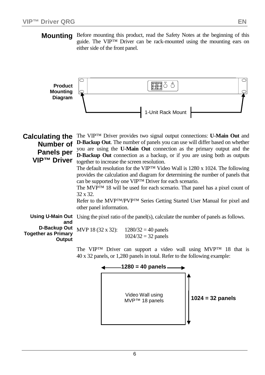**Mounting** Before mounting this product, read the Safety Notes at the beginning of this guide. The VIP™ Driver can be rack-mounted using the mounting ears on either side of the front panel.



| <b>Calculating the</b>                               | The VIP <sup>TM</sup> Driver provides two signal output connections: <b>U-Main Out</b> and<br><b>D-Backup Out.</b> The number of panels you can use will differ based on whether                                                                                                                                                                                                                                                                                                                                                                                                                                                                                                             |
|------------------------------------------------------|----------------------------------------------------------------------------------------------------------------------------------------------------------------------------------------------------------------------------------------------------------------------------------------------------------------------------------------------------------------------------------------------------------------------------------------------------------------------------------------------------------------------------------------------------------------------------------------------------------------------------------------------------------------------------------------------|
| <b>Number of</b><br>Panels per<br><b>VIP™ Driver</b> | you are using the <b>U-Main Out</b> connection as the primary output and the<br><b>D-Backup Out</b> connection as a backup, or if you are using both as outputs<br>together to increase the screen resolution.<br>The default resolution for the VIP <sup>TM</sup> Video Wall is 1280 x 1024. The following<br>provides the calculation and diagram for determining the number of panels that<br>can be supported by one VIPTM Driver for each scenario.<br>The MVP <sup>TM</sup> 18 will be used for each scenario. That panel has a pixel count of<br>$32 \times 32$ .<br>Refer to the MVP <sup>™</sup> /PVP™ Series Getting Started User Manual for pixel and<br>other panel information. |
| and                                                  | <b>Using U-Main Out</b> Using the pixel ratio of the panel(s), calculate the number of panels as follows.                                                                                                                                                                                                                                                                                                                                                                                                                                                                                                                                                                                    |
| <b>Together as Primary</b><br>Output                 | <b>D-Backup Out</b> MVP 18 (32 x 32): $1280/32 = 40$ panels<br>$1024/32 = 32$ panels                                                                                                                                                                                                                                                                                                                                                                                                                                                                                                                                                                                                         |
|                                                      | The VIPTM Driver can support a video wall using MVPTM 18 that is                                                                                                                                                                                                                                                                                                                                                                                                                                                                                                                                                                                                                             |

Driver can support a video wall using MVP 40 x 32 panels, or 1,280 panels in total. Refer to the following example:

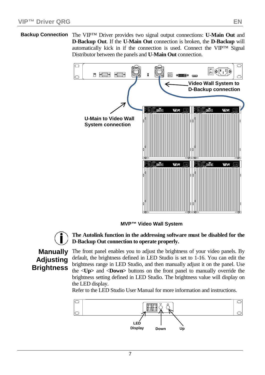**Backup Connection** The VIP™ Driver provides two signal output connections: **U-Main Out** and **D-Backup Out**. If the **U-Main Out** connection is broken, the **D-Backup** will automatically kick in if the connection is used. Connect the VIP™ Signal Distributor between the panels and **U-Main Out** connection.



**MVP™ Video Wall System**



### **The Autolink function in the addressing software must be disabled for the D-Backup Out connection to operate properly.**

## **Manually Adjusting Brightness**

The front panel enables you to adjust the brightness of your video panels. By default, the brightness defined in LED Studio is set to 1-16. You can edit the brightness range in LED Studio, and then manually adjust it on the panel. Use the <**Up>** and <**Down>** buttons on the front panel to manually override the brightness setting defined in LED Studio. The brightness value will display on the LED display.

Refer to the LED Studio User Manual for more information and instructions.

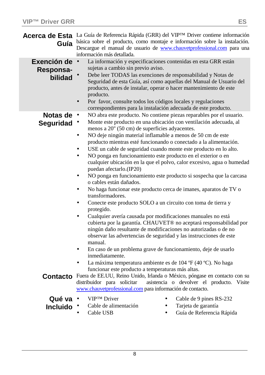|                                       | Acerca de Esta La Guía de Referencia Rápida (GRR) del VIPTM Driver contiene información<br>Guía básica sobre el producto, como montaje e información sobre la instalación.<br>Descargue el manual de usuario de <b>www.chauvetprofessional.com</b> para una<br>información más detallada.                                                                                                                                                                                                                                                                                                                                                                                                                                                                                                                                                                                                                                                                                                                                                                                                                                                                                                                                         |  |  |
|---------------------------------------|-----------------------------------------------------------------------------------------------------------------------------------------------------------------------------------------------------------------------------------------------------------------------------------------------------------------------------------------------------------------------------------------------------------------------------------------------------------------------------------------------------------------------------------------------------------------------------------------------------------------------------------------------------------------------------------------------------------------------------------------------------------------------------------------------------------------------------------------------------------------------------------------------------------------------------------------------------------------------------------------------------------------------------------------------------------------------------------------------------------------------------------------------------------------------------------------------------------------------------------|--|--|
| Exención de ·<br>Responsa-<br>bilidad | La información y especificaciones contenidas en esta GRR están<br>sujetas a cambio sin previo aviso.<br>Debe leer TODAS las exenciones de responsabilidad y Notas de<br>Seguridad de esta Guía, así como aquellas del Manual de Usuario del<br>producto, antes de instalar, operar o hacer mantenimiento de este<br>producto.<br>Por favor, consulte todos los códigos locales y regulaciones<br>correspondientes para la instalación adecuada de este producto.                                                                                                                                                                                                                                                                                                                                                                                                                                                                                                                                                                                                                                                                                                                                                                  |  |  |
| Notas de $\cdot$<br>Seguridad ·       | NO abra este producto. No contiene piezas reparables por el usuario.<br>Monte este producto en una ubicación con ventilación adecuada, al<br>menos a 20" (50 cm) de superficies adyacentes.<br>NO deje ningún material inflamable a menos de 50 cm de este<br>producto mientras esté funcionando o conectado a la alimentación.<br>USE un cable de seguridad cuando monte este producto en lo alto.<br>NO ponga en funcionamiento este producto en el exterior o en<br>cualquier ubicación en la que el polvo, calor excesivo, agua o humedad<br>puedan afectarlo.(IP20)<br>NO ponga en funcionamiento este producto si sospecha que la carcasa<br>o cables están dañados.<br>No haga funcionar este producto cerca de imanes, aparatos de TV o<br>transformadores.<br>Conecte este producto SOLO a un circuito con toma de tierra y<br>protegido.<br>Cualquier avería causada por modificaciones manuales no está<br>cubierta por la garantía. CHAUVET® no aceptará responsabilidad por<br>ningún daño resultante de modificaciones no autorizadas o de no<br>observar las advertencias de seguridad y las instrucciones de este<br>manual.<br>En caso de un problema grave de funcionamiento, deje de usarlo<br>inmediatamente. |  |  |
| <b>Contacto</b>                       | La máxima temperatura ambiente es de 104 °F (40 °C). No haga<br>funcionar este producto a temperaturas más altas.<br>Fuera de EE.UU, Reino Unido, Irlanda o México, póngase en contacto con su<br>distribuidor para solicitar<br>asistencia o devolver el producto. Visite<br>www.chauvetprofessional.com para información de contacto.                                                                                                                                                                                                                                                                                                                                                                                                                                                                                                                                                                                                                                                                                                                                                                                                                                                                                           |  |  |
| Qué va<br><b>Incluido</b>             | <b>VIPTM</b> Driver<br>Cable de 9 pines RS-232<br>Cable de alimentación<br>Tarjeta de garantía<br>Guía de Referencia Rápida<br>Cable USB                                                                                                                                                                                                                                                                                                                                                                                                                                                                                                                                                                                                                                                                                                                                                                                                                                                                                                                                                                                                                                                                                          |  |  |

- $\blacksquare$ Cable USB
- $\blacksquare$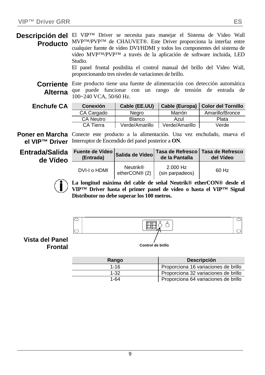**Descripción del** El VIP<sup>TM</sup> Driver se necesita para manejar el Sistema de Video Wall **Producto** MVP™/PVP™ de CHAUVET®. Este Driver proporciona la interfaz entre cualquier fuente de vídeo DVI/HDMI y todos los componentes del sistema de vídeo MVP™/PVP™ a través de la aplicación de software incluida, LED Studio.

El panel frontal posibilita el control manual del brillo del Video Wall, proporcionando tres niveles de variaciones de brillo.

**Corriente**  Este producto tiene una fuente de alimentación con detección automática **Alterna** que puede funcionar con un rango de tensión de entrada de 100~240 VCA, 50/60 Hz.

| <b>Enchufe CA</b> | <b>Conexión</b>  | Cable (EE.UU)  |                | Cable (Europa)   Color del Tornillo |
|-------------------|------------------|----------------|----------------|-------------------------------------|
|                   | CA Cargado       | Nearo          | Marrón         | Amarillo/Bronce                     |
|                   | <b>CA Neutro</b> | Blanco         | Azul           | Plata                               |
|                   | CA Tierra        | Verde/Amarillo | Verde/Amarillo | Verde                               |

Poner en Marcha Conecte este producto a la alimentación. Una vez enchufado, mueva el **el VIP™ Driver** Interruptor de Encendido del panel posterior a **ON**.

**Entrada/Salida de Vídeo**

| Fuente de Vídeo Salida de Vídeo <sup>I</sup><br>(Entrada) |                                  | de la Pantalla                | Tasa de Refresco   Tasa de Refresco<br>del Vídeo |
|-----------------------------------------------------------|----------------------------------|-------------------------------|--------------------------------------------------|
| DVI-I o HDMI                                              | <b>Neutrik®</b><br>etherCON® (2) | $2.000$ Hz<br>(sin parpadeos) | 60 Hz                                            |

**La longitud máxima del cable de señal Neutrik® etherCON® desde el VIP™ Driver hasta el primer panel de vídeo o hasta el VIP™ Signal Distributor no debe superar los 100 metros.**



**Vista del Panel Frontal**

| Rango | <b>Descripción</b>                   |
|-------|--------------------------------------|
| 1-16  | Proporciona 16 variaciones de brillo |
| 1-32  | Proporciona 32 variaciones de brillo |
| 1-64  | Proporciona 64 variaciones de brillo |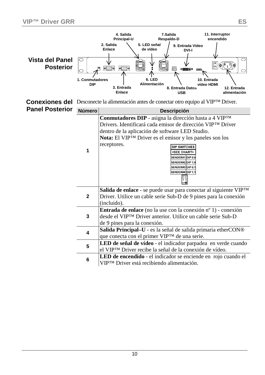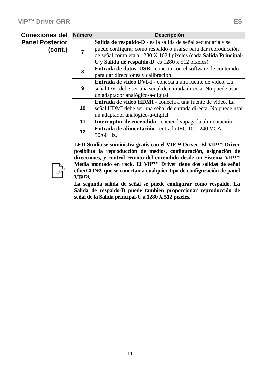| Conexiones del                    | <b>Número</b> | <b>Descripción</b>                                                |
|-----------------------------------|---------------|-------------------------------------------------------------------|
| <b>Panel Posterior</b><br>(cont.) |               | Salida de respaldo-D - es la salida de señal secundaria y se      |
|                                   |               | puede configurar como respaldo o usarse para dar reproducción     |
|                                   |               | de señal completa a 1280 X 1024 píxeles (cada Salida Principal-   |
|                                   |               | $U$ y Salida de respaldo-D es 1280 x 512 píxeles).                |
|                                   | 8             | Entrada de datos-USB - conecta con el software de contenido       |
|                                   |               | para dar direcciones y calibración.                               |
|                                   | 9             | <b>Entrada de vídeo DVI-I</b> - conecta a una fuente de vídeo. La |
|                                   |               | señal DVI debe ser una señal de entrada directa. No puede usar    |
|                                   |               | un adaptador analógico-a-digital.                                 |
|                                   | 10            | <b>Entrada de vídeo HDMI</b> - conecta a una fuente de vídeo. La  |
|                                   |               | señal HDMI debe ser una señal de entrada directa. No puede usar   |
|                                   |               | un adaptador analógico-a-digital.                                 |
|                                   | 11            | Interruptor de encendido - enciende/apaga la alimentación.        |
|                                   | 12            | Entrada de alimentación - entrada IEC 100~240 VCA,                |
|                                   |               | 50/60 Hz.                                                         |

**LED Studio se suministra gratis con el VIP™ Driver. El VIP™ Driver posibilita la reproducción de medios, configuración, asignación de direcciones, y control remoto del encendido desde un Sistema VIP™ Media montado en rack. El VIP™ Driver tiene dos salidas de señal etherCON® que se conectan a cualquier tipo de configuración de panel VIP™.** 

**La segunda salida de señal se puede configurar como respaldo. La Salida de respaldo-D puede también proporcionar reproducción de señal de la Salida principal-U a 1280 X 512 píxeles.**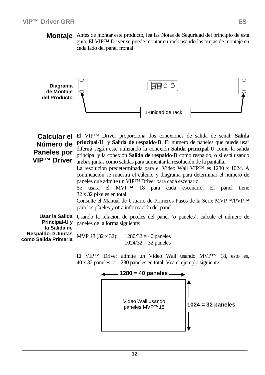**Montaje** Antes de montar este producto, lea las Notas de Seguridad del principio de esta guía. El VIP™ Driver se puede montar en rack usando las orejas de montaje en cada lado del panel frontal.



## **Número de Paneles por VIP™ Driver**

**Calcular el**  El VIP™ Driver proporciona dos conexiones de salida de señal: **Salida principal-U** y **Salida de respaldo-D**. El número de paneles que puede usar diferirá según esté utilizando la conexión **Salida principal-U** como la salida principal y la conexión **Salida de respaldo-D** como respaldo, o si está usando ambas juntas como salidas para aumentar la resolución de la pantalla.

> La resolución predeterminada para el Video Wall VIP™ es 1280 x 1024. A continuación se muestra el cálculo y diagrama para determinar el número de paneles que admite un VIP™ Driver para cada escenario.

> Se usará el MVP™ 18 para cada escenario. El panel tiene 32 x 32 píxeles en total.

> Consulte el Manual de Usuario de Primeros Pasos de la Serie MVP™/PVP™ para los píxeles y otra información del panel.

**Principal-U y la Salida de Respaldo-D Juntas como Salida Primaria** 

**Usar la Salida**  Usando la relación de píxeles del panel (o paneles), calcule el número de paneles de la forma siguiente:

> MVP 18 (32 x 32):  $1280/32 = 40$  paneles  $1024/32 = 32$  paneles

El VIP™ Driver admite un Video Wall usando MVP™ 18, esto es, 40 x 32 paneles, o 1.280 paneles en total. Vea el ejemplo siguiente:

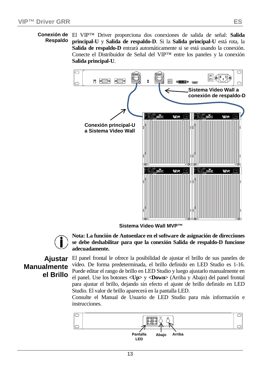# **Respaldo**

**Conexión de**  El VIP™ Driver proporciona dos conexiones de salida de señal: **Salida principal-U** y **Salida de respaldo-D**. Si la **Salida principal-U** está rota, la **Salida de respaldo-D** entrará automáticamente si se está usando la conexión. Conecte el Distribuidor de Señal del VIP™ entre los paneles y la conexión **Salida principal-U**.



**Sistema Video Wall MVP™**



**Nota: La función de Autoenlace en el software de asignación de direcciones se debe deshabilitar para que la conexión Salida de respaldo-D funcione adecuadamente.**

## **Ajustar Manualmente el Brillo**

El panel frontal le ofrece la posibilidad de ajustar el brillo de sus paneles de vídeo. De forma predeterminada, el brillo definido en LED Studio es 1-16. Puede editar el rango de brillo en LED Studio y luego ajustarlo manualmente en el panel. Use los botones **<Up>** y **<Down>** (Arriba y Abajo) del panel frontal para ajustar el brillo, dejando sin efecto el ajuste de brillo definido en LED Studio. El valor de brillo aparecerá en la pantalla LED.

Consulte el Manual de Usuario de LED Studio para más información e instrucciones.

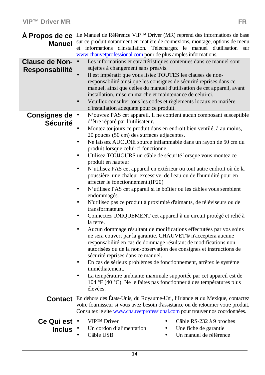| <b>Manuel</b>                      | A Propos de ce Le Manuel de Référence VIPTM Driver (MR) reprend des informations de base<br>sur ce produit notamment en matière de connexions, montage, options de menu<br>et informations d'installation. Téléchargez le manuel d'utilisation<br>sur<br>www.chauvetprofessional.com pour de plus amples informations.                                                                                                                                                                                                                                                                                                                                                                                                                                                                                                                                                                                                                                                                                                                                                                                                                                                                                                                                                                                                                                                                                                                                                                       |
|------------------------------------|----------------------------------------------------------------------------------------------------------------------------------------------------------------------------------------------------------------------------------------------------------------------------------------------------------------------------------------------------------------------------------------------------------------------------------------------------------------------------------------------------------------------------------------------------------------------------------------------------------------------------------------------------------------------------------------------------------------------------------------------------------------------------------------------------------------------------------------------------------------------------------------------------------------------------------------------------------------------------------------------------------------------------------------------------------------------------------------------------------------------------------------------------------------------------------------------------------------------------------------------------------------------------------------------------------------------------------------------------------------------------------------------------------------------------------------------------------------------------------------------|
| Clause de Non- ·<br>Responsabilité | Les informations et caractéristiques contenues dans ce manuel sont<br>sujettes à changement sans préavis.<br>Il est impératif que vous lisiez TOUTES les clauses de non-<br>responsabilité ainsi que les consignes de sécurité reprises dans ce<br>manuel, ainsi que celles du manuel d'utilisation de cet appareil, avant<br>installation, mise en marche et maintenance de celui-ci.<br>Veuillez consulter tous les codes et règlements locaux en matière<br>d'installation adéquate pour ce produit.                                                                                                                                                                                                                                                                                                                                                                                                                                                                                                                                                                                                                                                                                                                                                                                                                                                                                                                                                                                      |
| Consignes de ·<br><b>Sécurité</b>  | N'ouvrez PAS cet appareil. Il ne contient aucun composant susceptible<br>d'être réparé par l'utilisateur.<br>Montez toujours ce produit dans en endroit bien ventilé, à au moins,<br>20 pouces (50 cm) des surfaces adjacentes.<br>Ne laissez AUCUNE source inflammable dans un rayon de 50 cm du<br>produit lorsque celui-ci fonctionne.<br>Utilisez TOUJOURS un câble de sécurité lorsque vous montez ce<br>ä.<br>produit en hauteur.<br>N'utilisez PAS cet appareil en extérieur ou tout autre endroit où de la<br>poussière, une chaleur excessive, de l'eau ou de l'humidité pour en<br>affecter le fonctionnement.(IP20)<br>N'utilisez PAS cet appareil si le boîtier ou les câbles vous semblent<br>×.<br>endommagés.<br>N'utilisez pas ce produit à proximité d'aimants, de téléviseurs ou de<br>transformateurs.<br>Connectez UNIQUEMENT cet appareil à un circuit protégé et relié à<br>la terre.<br>Aucun dommage résultant de modifications effecturées par vos soins<br>٠<br>ne sera couvert par la garantie. CHAUVET® n'acceptera aucune<br>responsabilité en cas de dommage résultant de modifications non<br>autorisées ou de la non-observation des consignes et instructions de<br>sécurité reprises dans ce manuel.<br>En cas de sérieux problèmes de fonctionnement, arrêtez le système<br>٠<br>immédiatement.<br>La température ambiante maximale supportée par cet appareil est de<br>104 °F (40 °C). Ne le faites pas fonctionner à des températures plus<br>élevées. |
|                                    | <b>Contact</b> En dehors des États-Unis, du Royaume-Uni, l'Irlande et du Mexique, contactez<br>votre fournisseur si vous avez besoin d'assistance ou de retourner votre produit.<br>Consultez le site www.chauvetprofessional.com pour trouver nos coordonnées.                                                                                                                                                                                                                                                                                                                                                                                                                                                                                                                                                                                                                                                                                                                                                                                                                                                                                                                                                                                                                                                                                                                                                                                                                              |
| Ce Qui est ·<br>Inclus $\cdot$     | <b>VIPTM</b> Driver<br>Câble RS-232 à 9 broches<br>Un cordon d'alimentation<br>Une fiche de garantie<br>Un manuel de référence<br>Câble USB                                                                                                                                                                                                                                                                                                                                                                                                                                                                                                                                                                                                                                                                                                                                                                                                                                                                                                                                                                                                                                                                                                                                                                                                                                                                                                                                                  |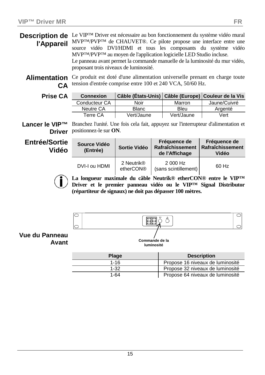**Description de** Le VIP<sup>™</sup> Driver est nécessaire au bon fonctionnement du système vidéo mural **l'Appareil** MVP™/PVP™ de CHAUVET®. Ce pilote propose une interface entre une source vidéo DVI/HDMI et tous les composants du système vidéo MVP™/PVP™ au moyen de l'application logicielle LED Studio incluse. Le panneau avant permet la commande manuelle de la luminosité du mur vidéo, proposant trois niveaux de luminosité.

Alimentation Ce produit est doté d'une alimentation universelle prenant en charge toute **CA** tension d'entrée comprise entre 100 et 240 VCA, 50/60 Hz.

| Prise CA | <b>Connexion</b> | Câble (États-Unis)   Câble (Europe)   Couleur de la Vis |            |              |
|----------|------------------|---------------------------------------------------------|------------|--------------|
|          | Conducteur CA    | Noir                                                    | Marron     | Jaune/Cuivré |
|          | Neutre CA        | <b>Blanc</b>                                            | Bleu       | Argenté      |
|          | Terre CA         | Vert/Jaune                                              | Vert/Jaune | Vert         |

Lancer le VIP<sup>™</sup> Branchez l'unité. Une fois cela fait, appuyez sur l'interrupteur d'alimentation et **Driver** positionnez-le sur **ON**.

**Entrée/Sortie Vidéo**

| Source Vidéo<br>(Entrée) | Sortie Vidéo                        | Fréquence de<br>Rafraîchissement<br>de l'Affichage | Fréquence de<br>Rafraîchissement<br>Vidéo |
|--------------------------|-------------------------------------|----------------------------------------------------|-------------------------------------------|
| DVI-I ou HDMI            | 2 Neutrik <sup>®</sup><br>etherCON® | 2 000 Hz<br>(sans scintillement)                   | 60 Hz                                     |

**La longueur maximale du câble Neutrik® etherCON® entre le VIP™ Driver et le premier panneau vidéo ou le VIP™ Signal Distributor (répartiteur de signaux) ne doit pas dépasser 100 mètres.**



| <b>Plage</b> | <b>Description</b>               |
|--------------|----------------------------------|
| $1 - 16$     | Propose 16 niveaux de luminosité |
| 1-32         | Propose 32 niveaux de luminosité |
| 1-64         | Propose 64 niveaux de luminosité |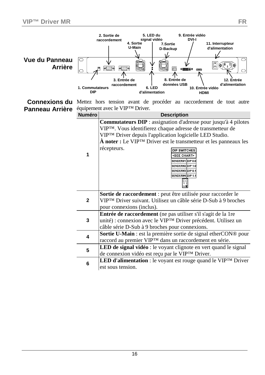| Vue du Panneau<br><b>Arrière</b> | 1. Commutateurs<br><b>DIP</b> | 5. LED du<br>9. Entrée vidéo<br>2. Sortie de<br>signal vidéo<br><b>DVI-I</b><br>raccordement<br>4. Sortie<br>11. Interrupteur<br>7.Sortie<br>U-Main<br>d'alimentation<br>D-Backup<br>C<br>$\mathbb{E}[\mathbf{e}(\mathbf{e}_i)]$ o<br>$\circ$ $\circ$<br>$\circ$ $\blacksquare$<br>∧<br>8. Entrée de<br>3. Entrée de<br>12. Entrée<br>données USB<br>d'alimentation<br>raccordement<br>6. LED<br>10. Entrée vidéo<br>d'alimentation<br><b>HDMI</b>                                                                               |  |
|----------------------------------|-------------------------------|----------------------------------------------------------------------------------------------------------------------------------------------------------------------------------------------------------------------------------------------------------------------------------------------------------------------------------------------------------------------------------------------------------------------------------------------------------------------------------------------------------------------------------|--|
|                                  |                               | <b>Connexions du</b> Mettez hors tension avant de procéder au raccordement de tout autre                                                                                                                                                                                                                                                                                                                                                                                                                                         |  |
| Panneau Arrière                  | <b>Numéro</b>                 | équipement avec le VIPTM Driver.<br><b>Description</b>                                                                                                                                                                                                                                                                                                                                                                                                                                                                           |  |
|                                  | 1                             | Commutateurs DIP : assignation d'adresse pour jusqu'à 4 pilotes<br>VIPTM. Vous identifierez chaque adresse de transmetteur de<br>VIPTM Driver depuis l'application logicielle LED Studio.<br>$\hat{A}$ noter : Le VIP <sup>TM</sup> Driver est le transmetteur et les panneaux les<br>récepteurs.<br>DIP SWITCHES<br><see chart=""><br/>SENDER#1 DIP 0.0<br/>SENDER#2 DIP 1.0<br/>SENDER#3 DIP 0.1<br/>SENDER#4 DIP 1.1<br/><math display="block">\begin{bmatrix} 1 &amp; 0 \\ 1 &amp; 2 \\ 0 &amp; 0 \end{bmatrix}</math></see> |  |
|                                  | $\mathbf{2}$                  | Sortie de raccordement : peut être utilisée pour raccorder le<br>VIPTM Driver suivant. Utilisez un câble série D-Sub à 9 broches<br>pour connexions (inclus).                                                                                                                                                                                                                                                                                                                                                                    |  |
|                                  | 3                             | Entrée de raccordement (ne pas utiliser s'il s'agit de la 1re<br>unité) : connexion avec le VIP <sup>TM</sup> Driver précédent. Utilisez un<br>câble série D-Sub à 9 broches pour connexions.                                                                                                                                                                                                                                                                                                                                    |  |
|                                  | 4                             | Sortie U-Main : est la première sortie de signal etherCON® pour<br>raccord au premier VIP™ dans un raccordement en série.                                                                                                                                                                                                                                                                                                                                                                                                        |  |
|                                  | 5                             | LED de signal vidéo : le voyant clignote en vert quand le signal<br>de connexion vidéo est reçu par le VIP <sup>TM</sup> Driver.                                                                                                                                                                                                                                                                                                                                                                                                 |  |
|                                  | 6                             | LED d'alimentation : le voyant est rouge quand le VIPTM Driver<br>est sous tension.                                                                                                                                                                                                                                                                                                                                                                                                                                              |  |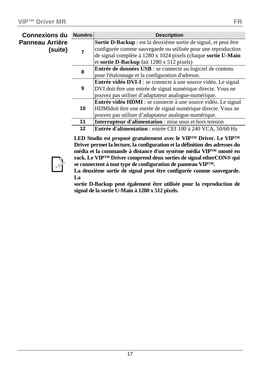| <b>Connexions du</b>       | <b>Numéro</b> | <b>Description</b>                                                    |
|----------------------------|---------------|-----------------------------------------------------------------------|
| Panneau Arrière<br>(suite) |               | Sortie D-Backup : est la deuxième sortie de signal, et peut être      |
|                            |               | configurée comme sauvegarde ou utilisée pour une reproduction         |
|                            |               | de signal complète à 1280 x 1024 pixels (chaque sortie U-Main         |
|                            |               | et sortie D-Backup fait $1280 \times 512$ pixels)                     |
|                            | 8             | <b>Entrée de données USB</b> : se connecte au logiciel de contenu     |
|                            |               | pour l'étalonnage et la configuration d'adresse.                      |
|                            | 9             | <b>Entrée vidéo DVI-I</b> : se connecte à une source vidéo. Le signal |
|                            |               | DVI doit être une entrée de signal numérique directe. Vous ne         |
|                            |               | pouvez pas utiliser d'adaptateur analogue-numérique.                  |
|                            |               | <b>Entrée vidéo HDMI</b> : se connecte à une source vidéo. Le signal  |
|                            | 10            | HDMIdoit être une entrée de signal numérique directe. Vous ne         |
|                            |               | pouvez pas utiliser d'adaptateur analogue-numérique.                  |
|                            | 11            | Interrupteur d'alimentation : mise sous et hors tension               |
|                            | 12            | Entrée d'alimentation : entrée CEI 100 à 240 VCA, 50/60 Hz            |

**LED Studio est proposé gratuitement avec le VIP™ Driver. Le VIP™ Driver permet la lecture, la configuration et la définition des adresses du média et la commande à distance d'un système média VIP™ monté en rack. Le VIP™ Driver comprend deux sorties de signal etherCON® qui se connectent à tout type de configuration de panneau VIP™.** 



**La deuxième sortie de signal peut être configurée comme sauvegarde. La** 

**sortie D-Backup peut également être utilisée pour la reproduction de signal de la sortie U-Main à 1280 x 512 pixels.**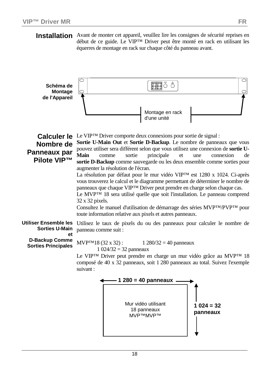**Installation** Avant de monter cet appareil, veuillez lire les consignes de sécurité reprises en début de ce guide. Le VIP™ Driver peut être monté en rack en utilisant les équerres de montage en rack sur chaque côté du panneau avant.

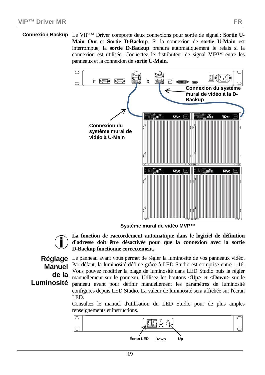**Connexion Backup** Le VIP™ Driver comporte deux connexions pour sortie de signal : **Sortie U-Main Out** et **Sortie D-Backup**. Si la connexion de **sortie U-Main** est interrompue, la **sortie D-Backup** prendra automatiquement le relais si la connexion est utilisée. Connectez le distributeur de signal VIP™ entre les panneaux et la connexion de **sortie U-Main**.



**Système mural de vidéo MVP™**



**La fonction de raccordement automatique dans le logiciel de définition d'adresse doit être désactivée pour que la connexion avec la sortie D-Backup fonctionne correctement.**

# **Manuel de la Luminosité**

**Réglage**  Le panneau avant vous permet de régler la luminosité de vos panneaux vidéo. Par défaut, la luminosité définie grâce à LED Studio est comprise entre 1-16. Vous pouvez modifier la plage de luminosité dans LED Studio puis la régler manuellement sur le panneau. Utilisez les boutons <**Up>** et <**Down>** sur le panneau avant pour définir manuellement les paramètres de luminosité configurés depuis LED Studio. La valeur de luminosité sera affichée sur l'écran LED.

> Consultez le manuel d'utilisation du LED Studio pour de plus amples renseignements et instructions.